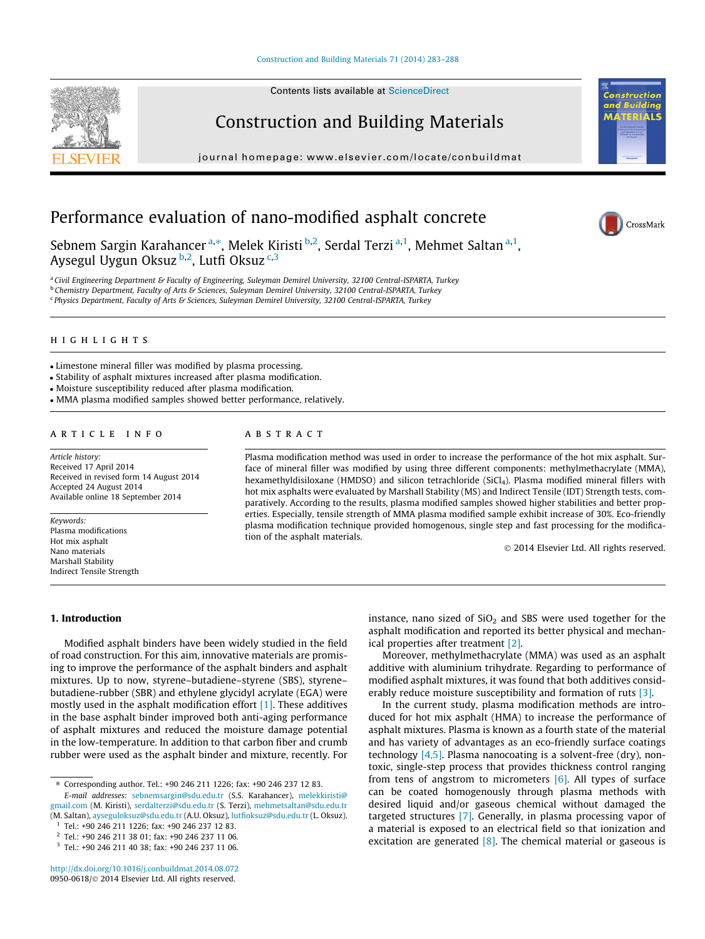## [Construction and Building Materials 71 \(2014\) 283–288](http://dx.doi.org/10.1016/j.conbuildmat.2014.08.072)

Contents lists available at [ScienceDirect](http://www.sciencedirect.com/science/journal/09500618)

# Construction and Building Materials

journal homepage: [www.elsevier.com/locate/conbuildmat](http://www.elsevier.com/locate/conbuildmat)

# Performance evaluation of nano-modified asphalt concrete

Sebnem Sargin Karahancer<sup>a,\*</sup>, Melek Kiristi <sup>b,2</sup>, Serdal Terzi<sup>a,1</sup>, Mehmet Saltan<sup>a,1</sup>, Aysegul Uygun Oksuz b,2, Lutfi Oksuz c,3

a Civil Engineering Department & Faculty of Engineering, Suleyman Demirel University, 32100 Central-ISPARTA, Turkey <sup>b</sup> Chemistry Department, Faculty of Arts & Sciences, Suleyman Demirel University, 32100 Central-ISPARTA, Turkey <sup>c</sup> Physics Department, Faculty of Arts & Sciences, Suleyman Demirel University, 32100 Central-ISPARTA, Turkey

# highlights

- Limestone mineral filler was modified by plasma processing.
- Stability of asphalt mixtures increased after plasma modification.
- Moisture susceptibility reduced after plasma modification.
- MMA plasma modified samples showed better performance, relatively.

#### article info

Article history: Received 17 April 2014 Received in revised form 14 August 2014 Accepted 24 August 2014 Available online 18 September 2014

Keywords: Plasma modifications Hot mix asphalt Nano materials Marshall Stability Indirect Tensile Strength

# **ABSTRACT**

Plasma modification method was used in order to increase the performance of the hot mix asphalt. Surface of mineral filler was modified by using three different components: methylmethacrylate (MMA), hexamethyldisiloxane (HMDSO) and silicon tetrachloride (SiCl<sub>4</sub>). Plasma modified mineral fillers with hot mix asphalts were evaluated by Marshall Stability (MS) and Indirect Tensile (IDT) Strength tests, comparatively. According to the results, plasma modified samples showed higher stabilities and better properties. Especially, tensile strength of MMA plasma modified sample exhibit increase of 30%. Eco-friendly plasma modification technique provided homogenous, single step and fast processing for the modification of the asphalt materials.

- 2014 Elsevier Ltd. All rights reserved.

## 1. Introduction

Modified asphalt binders have been widely studied in the field of road construction. For this aim, innovative materials are promising to improve the performance of the asphalt binders and asphalt mixtures. Up to now, styrene–butadiene–styrene (SBS), styrene– butadiene-rubber (SBR) and ethylene glycidyl acrylate (EGA) were mostly used in the asphalt modification effort [\[1\]](#page--1-0). These additives in the base asphalt binder improved both anti-aging performance of asphalt mixtures and reduced the moisture damage potential in the low-temperature. In addition to that carbon fiber and crumb rubber were used as the asphalt binder and mixture, recently. For instance, nano sized of  $SiO<sub>2</sub>$  and SBS were used together for the asphalt modification and reported its better physical and mechanical properties after treatment [\[2\].](#page--1-0)

Moreover, methylmethacrylate (MMA) was used as an asphalt additive with aluminium trihydrate. Regarding to performance of modified asphalt mixtures, it was found that both additives considerably reduce moisture susceptibility and formation of ruts [\[3\].](#page--1-0)

In the current study, plasma modification methods are introduced for hot mix asphalt (HMA) to increase the performance of asphalt mixtures. Plasma is known as a fourth state of the material and has variety of advantages as an eco-friendly surface coatings technology  $[4,5]$ . Plasma nanocoating is a solvent-free (dry), nontoxic, single-step process that provides thickness control ranging from tens of angstrom to micrometers  $[6]$ . All types of surface can be coated homogenously through plasma methods with desired liquid and/or gaseous chemical without damaged the targeted structures [\[7\].](#page--1-0) Generally, in plasma processing vapor of a material is exposed to an electrical field so that ionization and excitation are generated  $[8]$ . The chemical material or gaseous is







<sup>⇑</sup> Corresponding author. Tel.: +90 246 211 1226; fax: +90 246 237 12 83.

E-mail addresses: [sebnemsargin@sdu.edu.tr](mailto:sebnemsargin@sdu.edu.tr) (S.S. Karahancer), [melekkiristi@](mailto:melekkiristi@gmail.com) [gmail.com](mailto:melekkiristi@gmail.com) (M. Kiristi), [serdalterzi@sdu.edu.tr](mailto:serdalterzi@sdu.edu.tr) (S. Terzi), [mehmetsaltan@sdu.edu.tr](mailto:mehmetsaltan@sdu.edu.tr) (M. Saltan), [ayseguloksuz@sdu.edu.tr](mailto:ayseguloksuz@sdu.edu.tr) (A.U. Oksuz), [lutfioksuz@sdu.edu.tr](mailto:lutfioksuz@sdu.edu.tr) (L. Oksuz).

<sup>1</sup> Tel.: +90 246 211 1226; fax: +90 246 237 12 83.

<sup>2</sup> Tel.: +90 246 211 38 01; fax: +90 246 237 11 06.

<sup>3</sup> Tel.: +90 246 211 40 38; fax: +90 246 237 11 06.

<http://dx.doi.org/10.1016/j.conbuildmat.2014.08.072> 0950-0618/© 2014 Elsevier Ltd. All rights reserved.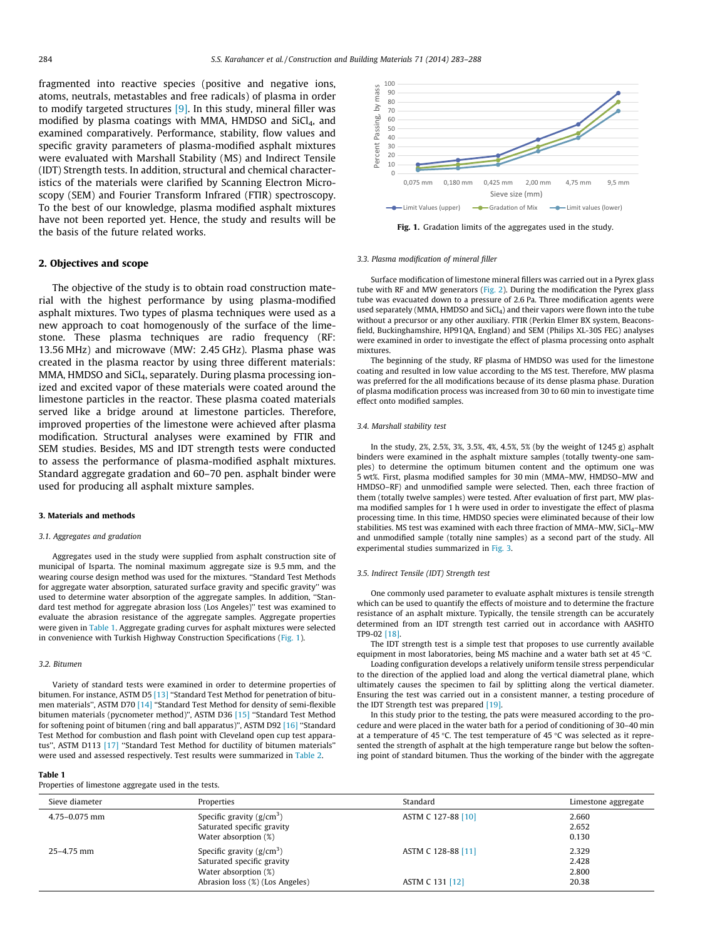fragmented into reactive species (positive and negative ions, atoms, neutrals, metastables and free radicals) of plasma in order to modify targeted structures [\[9\].](#page--1-0) In this study, mineral filler was modified by plasma coatings with MMA, HMDSO and  $SiCl<sub>4</sub>$ , and examined comparatively. Performance, stability, flow values and specific gravity parameters of plasma-modified asphalt mixtures were evaluated with Marshall Stability (MS) and Indirect Tensile (IDT) Strength tests. In addition, structural and chemical characteristics of the materials were clarified by Scanning Electron Microscopy (SEM) and Fourier Transform Infrared (FTIR) spectroscopy. To the best of our knowledge, plasma modified asphalt mixtures have not been reported yet. Hence, the study and results will be the basis of the future related works.

### 2. Objectives and scope

The objective of the study is to obtain road construction material with the highest performance by using plasma-modified asphalt mixtures. Two types of plasma techniques were used as a new approach to coat homogenously of the surface of the limestone. These plasma techniques are radio frequency (RF: 13.56 MHz) and microwave (MW: 2.45 GHz). Plasma phase was created in the plasma reactor by using three different materials: MMA, HMDSO and SiCl<sub>4</sub>, separately. During plasma processing ionized and excited vapor of these materials were coated around the limestone particles in the reactor. These plasma coated materials served like a bridge around at limestone particles. Therefore, improved properties of the limestone were achieved after plasma modification. Structural analyses were examined by FTIR and SEM studies. Besides, MS and IDT strength tests were conducted to assess the performance of plasma-modified asphalt mixtures. Standard aggregate gradation and 60–70 pen. asphalt binder were used for producing all asphalt mixture samples.

#### 3. Materials and methods

#### 3.1. Aggregates and gradation

Aggregates used in the study were supplied from asphalt construction site of municipal of Isparta. The nominal maximum aggregate size is 9.5 mm, and the wearing course design method was used for the mixtures. ''Standard Test Methods for aggregate water absorption, saturated surface gravity and specific gravity'' was used to determine water absorption of the aggregate samples. In addition, ''Standard test method for aggregate abrasion loss (Los Angeles)'' test was examined to evaluate the abrasion resistance of the aggregate samples. Aggregate properties were given in Table 1. Aggregate grading curves for asphalt mixtures were selected in convenience with Turkish Highway Construction Specifications (Fig. 1).

#### 3.2. Bitumen

Variety of standard tests were examined in order to determine properties of bitumen. For instance, ASTM D5 [\[13\]](#page--1-0) "Standard Test Method for penetration of bitumen materials'', ASTM D70 [\[14\]](#page--1-0) ''Standard Test Method for density of semi-flexible bitumen materials (pycnometer method)'', ASTM D36 [\[15\]](#page--1-0) ''Standard Test Method for softening point of bitumen (ring and ball apparatus)'', ASTM D92 [\[16\]](#page--1-0) ''Standard Test Method for combustion and flash point with Cleveland open cup test apparatus'', ASTM D113 [\[17\]](#page--1-0) ''Standard Test Method for ductility of bitumen materials'' were used and assessed respectively. Test results were summarized in [Table 2.](#page--1-0)

#### Table 1

Properties of limestone aggregate used in the tests.



Fig. 1. Gradation limits of the aggregates used in the study.

#### 3.3. Plasma modification of mineral filler

Surface modification of limestone mineral fillers was carried out in a Pyrex glass tube with RF and MW generators ([Fig. 2](#page--1-0)). During the modification the Pyrex glass tube was evacuated down to a pressure of 2.6 Pa. Three modification agents were used separately (MMA, HMDSO and  $SiCl<sub>4</sub>$ ) and their vapors were flown into the tube without a precursor or any other auxiliary. FTIR (Perkin Elmer BX system, Beaconsfield, Buckinghamshire, HP91QA, England) and SEM (Philips XL-30S FEG) analyses were examined in order to investigate the effect of plasma processing onto asphalt mixtures.

The beginning of the study, RF plasma of HMDSO was used for the limestone coating and resulted in low value according to the MS test. Therefore, MW plasma was preferred for the all modifications because of its dense plasma phase. Duration of plasma modification process was increased from 30 to 60 min to investigate time effect onto modified samples.

#### 3.4. Marshall stability test

In the study, 2%, 2.5%, 3%, 3.5%, 4%, 4.5%, 5% (by the weight of 1245 g) asphalt binders were examined in the asphalt mixture samples (totally twenty-one samples) to determine the optimum bitumen content and the optimum one was 5 wt%. First, plasma modified samples for 30 min (MMA–MW, HMDSO–MW and HMDSO–RF) and unmodified sample were selected. Then, each three fraction of them (totally twelve samples) were tested. After evaluation of first part, MW plasma modified samples for 1 h were used in order to investigate the effect of plasma processing time. In this time, HMDSO species were eliminated because of their low stabilities. MS test was examined with each three fraction of MMA–MW,  $SiCl<sub>4</sub>$ –MW and unmodified sample (totally nine samples) as a second part of the study. All experimental studies summarized in [Fig. 3.](#page--1-0)

### 3.5. Indirect Tensile (IDT) Strength test

One commonly used parameter to evaluate asphalt mixtures is tensile strength which can be used to quantify the effects of moisture and to determine the fracture resistance of an asphalt mixture. Typically, the tensile strength can be accurately determined from an IDT strength test carried out in accordance with AASHTO TP9-02 [\[18\].](#page--1-0)

The IDT strength test is a simple test that proposes to use currently available equipment in most laboratories, being MS machine and a water bath set at 45 °C.

Loading configuration develops a relatively uniform tensile stress perpendicular to the direction of the applied load and along the vertical diametral plane, which ultimately causes the specimen to fail by splitting along the vertical diameter. Ensuring the test was carried out in a consistent manner, a testing procedure of the IDT Strength test was prepared [\[19\]](#page--1-0).

In this study prior to the testing, the pats were measured according to the procedure and were placed in the water bath for a period of conditioning of 30–40 min at a temperature of 45 °C. The test temperature of 45 °C was selected as it represented the strength of asphalt at the high temperature range but below the softening point of standard bitumen. Thus the working of the binder with the aggregate

| Sieve diameter    | Properties                                                                                                           | Standard                              | Limestone aggregate              |
|-------------------|----------------------------------------------------------------------------------------------------------------------|---------------------------------------|----------------------------------|
| $4.75 - 0.075$ mm | Specific gravity $(g/cm^3)$<br>Saturated specific gravity<br>Water absorption (%)                                    | ASTM C 127-88 [10]                    | 2.660<br>2.652<br>0.130          |
| 25-4.75 mm        | Specific gravity $(g/cm^3)$<br>Saturated specific gravity<br>Water absorption (%)<br>Abrasion loss (%) (Los Angeles) | ASTM C 128-88 [11]<br>ASTM C 131 [12] | 2.329<br>2.428<br>2.800<br>20.38 |